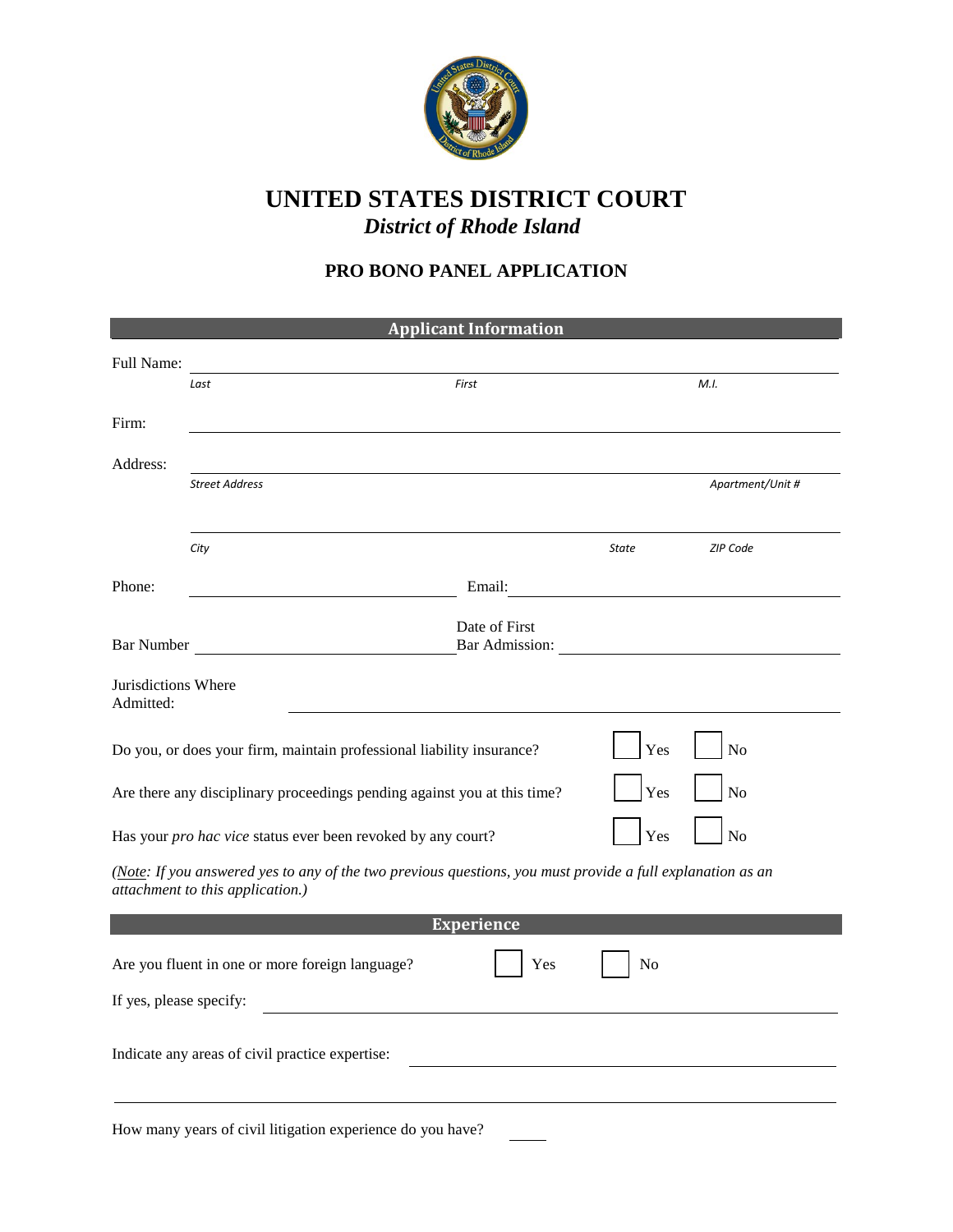

## **UNITED STATES DISTRICT COURT** *District of Rhode Island*

## **PRO BONO PANEL APPLICATION**

| <b>Applicant Information</b>                                                                                                                   |                                                                          |                   |              |                  |  |
|------------------------------------------------------------------------------------------------------------------------------------------------|--------------------------------------------------------------------------|-------------------|--------------|------------------|--|
| Full Name:                                                                                                                                     |                                                                          |                   |              |                  |  |
|                                                                                                                                                | Last                                                                     | First             |              | M.I.             |  |
|                                                                                                                                                |                                                                          |                   |              |                  |  |
| Firm:                                                                                                                                          |                                                                          |                   |              |                  |  |
| Address:                                                                                                                                       |                                                                          |                   |              |                  |  |
|                                                                                                                                                | <b>Street Address</b>                                                    |                   |              | Apartment/Unit # |  |
|                                                                                                                                                |                                                                          |                   |              |                  |  |
|                                                                                                                                                | City                                                                     |                   | <b>State</b> | ZIP Code         |  |
|                                                                                                                                                |                                                                          |                   |              |                  |  |
| Phone:                                                                                                                                         |                                                                          | Email: No. 1996   |              |                  |  |
|                                                                                                                                                |                                                                          | Date of First     |              |                  |  |
| <b>Bar Number</b>                                                                                                                              |                                                                          | Bar Admission:    |              |                  |  |
| Jurisdictions Where                                                                                                                            |                                                                          |                   |              |                  |  |
| Admitted:                                                                                                                                      |                                                                          |                   |              |                  |  |
|                                                                                                                                                |                                                                          |                   |              |                  |  |
|                                                                                                                                                | Do you, or does your firm, maintain professional liability insurance?    |                   | Yes          | No               |  |
|                                                                                                                                                |                                                                          |                   | Yes          | No               |  |
|                                                                                                                                                | Are there any disciplinary proceedings pending against you at this time? |                   |              |                  |  |
|                                                                                                                                                | Has your pro hac vice status ever been revoked by any court?             |                   | Yes          | No               |  |
|                                                                                                                                                |                                                                          |                   |              |                  |  |
| (Note: If you answered yes to any of the two previous questions, you must provide a full explanation as an<br>attachment to this application.) |                                                                          |                   |              |                  |  |
|                                                                                                                                                |                                                                          | <b>Experience</b> |              |                  |  |
|                                                                                                                                                |                                                                          |                   |              |                  |  |
|                                                                                                                                                | Are you fluent in one or more foreign language?                          | Yes               | No           |                  |  |
| If yes, please specify:                                                                                                                        |                                                                          |                   |              |                  |  |
|                                                                                                                                                |                                                                          |                   |              |                  |  |
| Indicate any areas of civil practice expertise:                                                                                                |                                                                          |                   |              |                  |  |
|                                                                                                                                                |                                                                          |                   |              |                  |  |
|                                                                                                                                                |                                                                          |                   |              |                  |  |
|                                                                                                                                                | How many years of civil litigation experience do you have?               |                   |              |                  |  |